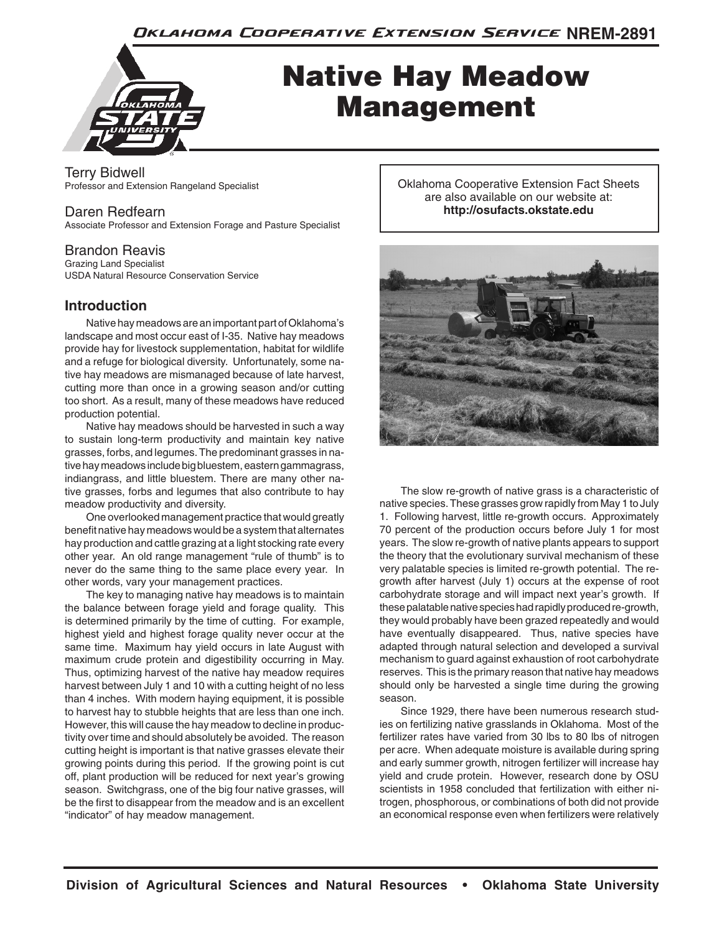Oklahoma Cooperative Extension Service NREM-2891



# Native Hay Meadow Management

Terry Bidwell Professor and Extension Rangeland Specialist

# Daren Redfearn

Associate Professor and Extension Forage and Pasture Specialist

## Brandon Reavis

Grazing Land Specialist USDA Natural Resource Conservation Service

# **Introduction**

Native hay meadows are an important part of Oklahoma's landscape and most occur east of I-35. Native hay meadows provide hay for livestock supplementation, habitat for wildlife and a refuge for biological diversity. Unfortunately, some native hay meadows are mismanaged because of late harvest, cutting more than once in a growing season and/or cutting too short. As a result, many of these meadows have reduced production potential.

Native hay meadows should be harvested in such a way to sustain long-term productivity and maintain key native grasses, forbs, and legumes. The predominant grasses in native hay meadows include big bluestem, eastern gammagrass, indiangrass, and little bluestem. There are many other native grasses, forbs and legumes that also contribute to hay meadow productivity and diversity.

One overlooked management practice that would greatly benefit native hay meadows would be a system that alternates hay production and cattle grazing at a light stocking rate every other year. An old range management "rule of thumb" is to never do the same thing to the same place every year. In other words, vary your management practices.

The key to managing native hay meadows is to maintain the balance between forage yield and forage quality. This is determined primarily by the time of cutting. For example, highest yield and highest forage quality never occur at the same time. Maximum hay yield occurs in late August with maximum crude protein and digestibility occurring in May. Thus, optimizing harvest of the native hay meadow requires harvest between July 1 and 10 with a cutting height of no less than 4 inches. With modern haying equipment, it is possible to harvest hay to stubble heights that are less than one inch. However, this will cause the hay meadow to decline in productivity over time and should absolutely be avoided. The reason cutting height is important is that native grasses elevate their growing points during this period. If the growing point is cut off, plant production will be reduced for next year's growing season. Switchgrass, one of the big four native grasses, will be the first to disappear from the meadow and is an excellent "indicator" of hay meadow management.

Oklahoma Cooperative Extension Fact Sheets are also available on our website at: **http://osufacts.okstate.edu**



The slow re-growth of native grass is a characteristic of native species. These grasses grow rapidly from May 1 to July 1. Following harvest, little re-growth occurs. Approximately 70 percent of the production occurs before July 1 for most years. The slow re-growth of native plants appears to support the theory that the evolutionary survival mechanism of these very palatable species is limited re-growth potential. The regrowth after harvest (July 1) occurs at the expense of root carbohydrate storage and will impact next year's growth. If these palatable native species had rapidly produced re-growth, they would probably have been grazed repeatedly and would have eventually disappeared. Thus, native species have adapted through natural selection and developed a survival mechanism to guard against exhaustion of root carbohydrate reserves. This is the primary reason that native hay meadows should only be harvested a single time during the growing season.

Since 1929, there have been numerous research studies on fertilizing native grasslands in Oklahoma. Most of the fertilizer rates have varied from 30 lbs to 80 lbs of nitrogen per acre. When adequate moisture is available during spring and early summer growth, nitrogen fertilizer will increase hay yield and crude protein. However, research done by OSU scientists in 1958 concluded that fertilization with either nitrogen, phosphorous, or combinations of both did not provide an economical response even when fertilizers were relatively